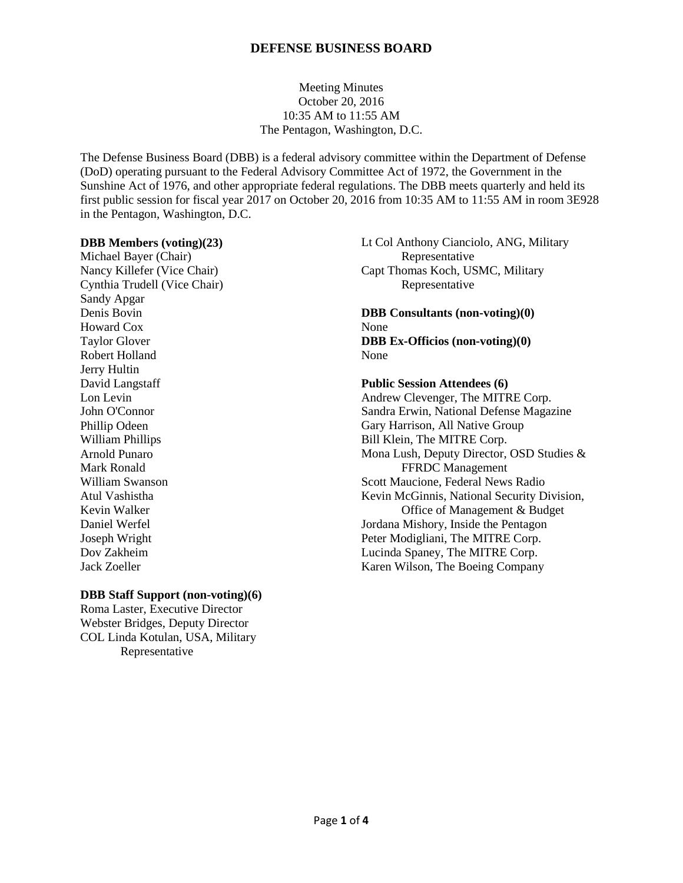# Meeting Minutes October 20, 2016 10:35 AM to 11:55 AM The Pentagon, Washington, D.C.

The Defense Business Board (DBB) is a federal advisory committee within the Department of Defense (DoD) operating pursuant to the Federal Advisory Committee Act of 1972, the Government in the Sunshine Act of 1976, and other appropriate federal regulations. The DBB meets quarterly and held its first public session for fiscal year 2017 on October 20, 2016 from 10:35 AM to 11:55 AM in room 3E928 in the Pentagon, Washington, D.C.

#### **DBB Members (voting)(23)**

Michael Bayer (Chair) Nancy Killefer (Vice Chair) Cynthia Trudell (Vice Chair) Sandy Apgar Denis Bovin Howard Cox Taylor Glover Robert Holland Jerry Hultin David Langstaff Lon Levin John O'Connor Phillip Odeen William Phillips Arnold Punaro Mark Ronald William Swanson Atul Vashistha Kevin Walker Daniel Werfel Joseph Wright Dov Zakheim Jack Zoeller

### **DBB Staff Support (non-voting)(6)**

Roma Laster, Executive Director Webster Bridges, Deputy Director COL Linda Kotulan, USA, Military Representative

Lt Col Anthony Cianciolo, ANG, Military Representative Capt Thomas Koch, USMC, Military Representative

**DBB Consultants (non-voting)(0)** None **DBB Ex-Officios (non-voting)(0)** None

# **Public Session Attendees (6)** Andrew Clevenger, The MITRE Corp. Sandra Erwin, National Defense Magazine Gary Harrison, All Native Group Bill Klein, The MITRE Corp. Mona Lush, Deputy Director, OSD Studies & FFRDC Management Scott Maucione, Federal News Radio Kevin McGinnis, National Security Division, Office of Management & Budget Jordana Mishory, Inside the Pentagon Peter Modigliani, The MITRE Corp. Lucinda Spaney, The MITRE Corp. Karen Wilson, The Boeing Company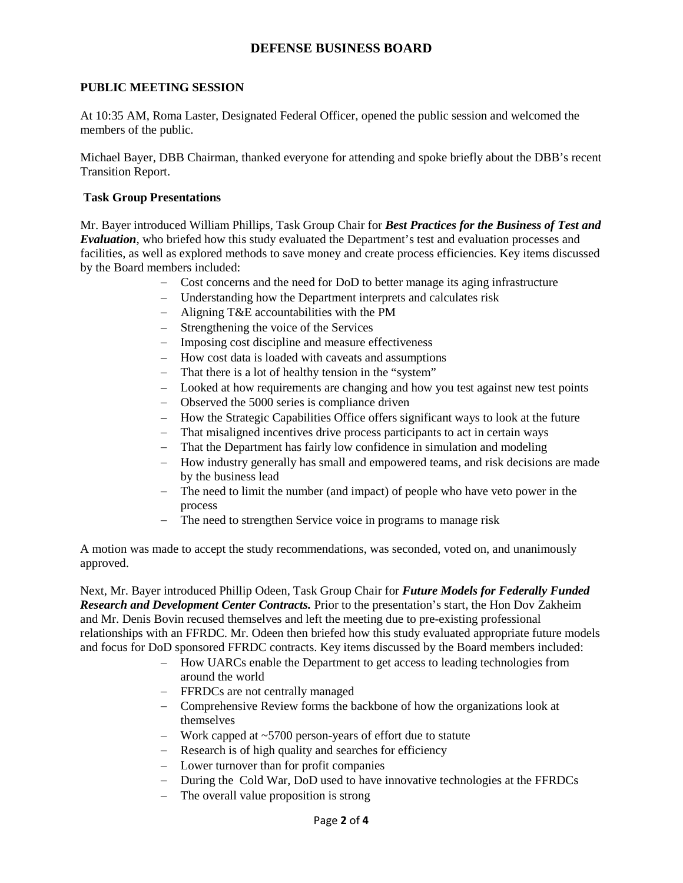## **PUBLIC MEETING SESSION**

At 10:35 AM, Roma Laster, Designated Federal Officer, opened the public session and welcomed the members of the public.

Michael Bayer, DBB Chairman, thanked everyone for attending and spoke briefly about the DBB's recent Transition Report.

#### **Task Group Presentations**

Mr. Bayer introduced William Phillips, Task Group Chair for *Best Practices for the Business of Test and Evaluation*, who briefed how this study evaluated the Department's test and evaluation processes and facilities, as well as explored methods to save money and create process efficiencies. Key items discussed by the Board members included:

- − Cost concerns and the need for DoD to better manage its aging infrastructure
- − Understanding how the Department interprets and calculates risk
- − Aligning T&E accountabilities with the PM
- − Strengthening the voice of the Services
- − Imposing cost discipline and measure effectiveness
- − How cost data is loaded with caveats and assumptions
- − That there is a lot of healthy tension in the "system"
- − Looked at how requirements are changing and how you test against new test points
- − Observed the 5000 series is compliance driven
- − How the Strategic Capabilities Office offers significant ways to look at the future
- − That misaligned incentives drive process participants to act in certain ways
- − That the Department has fairly low confidence in simulation and modeling
- − How industry generally has small and empowered teams, and risk decisions are made by the business lead
- − The need to limit the number (and impact) of people who have veto power in the process
- − The need to strengthen Service voice in programs to manage risk

A motion was made to accept the study recommendations, was seconded, voted on, and unanimously approved.

Next, Mr. Bayer introduced Phillip Odeen, Task Group Chair for *Future Models for Federally Funded Research and Development Center Contracts.* Prior to the presentation's start, the Hon Dov Zakheim and Mr. Denis Bovin recused themselves and left the meeting due to pre-existing professional relationships with an FFRDC. Mr. Odeen then briefed how this study evaluated appropriate future models and focus for DoD sponsored FFRDC contracts. Key items discussed by the Board members included:

- − How UARCs enable the Department to get access to leading technologies from around the world
- − FFRDCs are not centrally managed
- − Comprehensive Review forms the backbone of how the organizations look at themselves
- − Work capped at ~5700 person-years of effort due to statute
- − Research is of high quality and searches for efficiency
- − Lower turnover than for profit companies
- − During the Cold War, DoD used to have innovative technologies at the FFRDCs
- − The overall value proposition is strong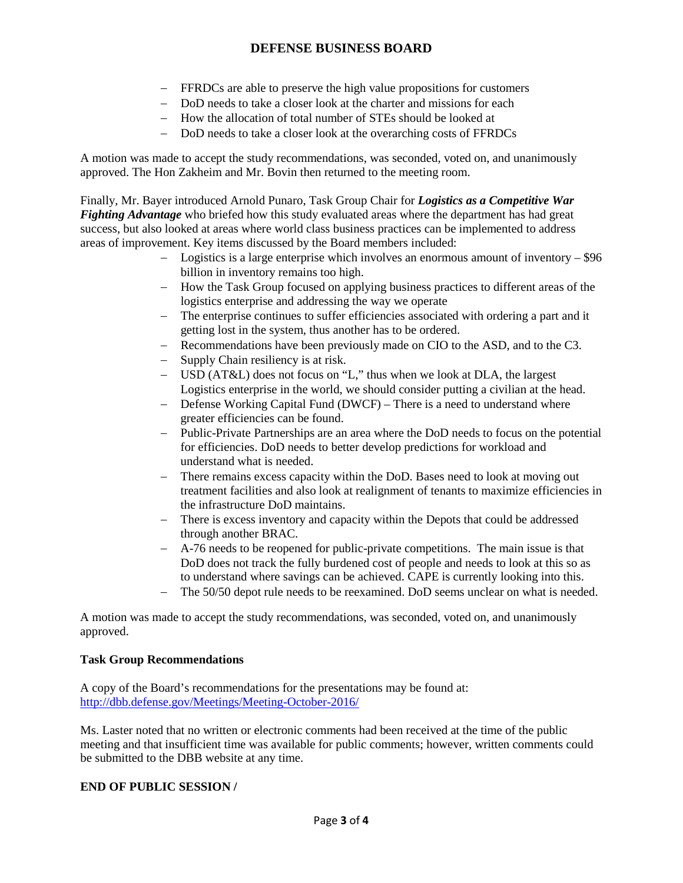- − FFRDCs are able to preserve the high value propositions for customers
- − DoD needs to take a closer look at the charter and missions for each
- − How the allocation of total number of STEs should be looked at
- − DoD needs to take a closer look at the overarching costs of FFRDCs

A motion was made to accept the study recommendations, was seconded, voted on, and unanimously approved. The Hon Zakheim and Mr. Bovin then returned to the meeting room.

Finally, Mr. Bayer introduced Arnold Punaro, Task Group Chair for *Logistics as a Competitive War Fighting Advantage* who briefed how this study evaluated areas where the department has had great success, but also looked at areas where world class business practices can be implemented to address areas of improvement. Key items discussed by the Board members included:

- − Logistics is a large enterprise which involves an enormous amount of inventory \$96 billion in inventory remains too high.
- − How the Task Group focused on applying business practices to different areas of the logistics enterprise and addressing the way we operate
- − The enterprise continues to suffer efficiencies associated with ordering a part and it getting lost in the system, thus another has to be ordered.
- − Recommendations have been previously made on CIO to the ASD, and to the C3.
- − Supply Chain resiliency is at risk.
- − USD (AT&L) does not focus on "L," thus when we look at DLA, the largest Logistics enterprise in the world, we should consider putting a civilian at the head.
- − Defense Working Capital Fund (DWCF) There is a need to understand where greater efficiencies can be found.
- − Public-Private Partnerships are an area where the DoD needs to focus on the potential for efficiencies. DoD needs to better develop predictions for workload and understand what is needed.
- − There remains excess capacity within the DoD. Bases need to look at moving out treatment facilities and also look at realignment of tenants to maximize efficiencies in the infrastructure DoD maintains.
- − There is excess inventory and capacity within the Depots that could be addressed through another BRAC.
- − A-76 needs to be reopened for public-private competitions. The main issue is that DoD does not track the fully burdened cost of people and needs to look at this so as to understand where savings can be achieved. CAPE is currently looking into this.
- − The 50/50 depot rule needs to be reexamined. DoD seems unclear on what is needed.

A motion was made to accept the study recommendations, was seconded, voted on, and unanimously approved.

### **Task Group Recommendations**

A copy of the Board's recommendations for the presentations may be found at: <http://dbb.defense.gov/Meetings/Meeting-October-2016/>

Ms. Laster noted that no written or electronic comments had been received at the time of the public meeting and that insufficient time was available for public comments; however, written comments could be submitted to the DBB website at any time.

### **END OF PUBLIC SESSION /**